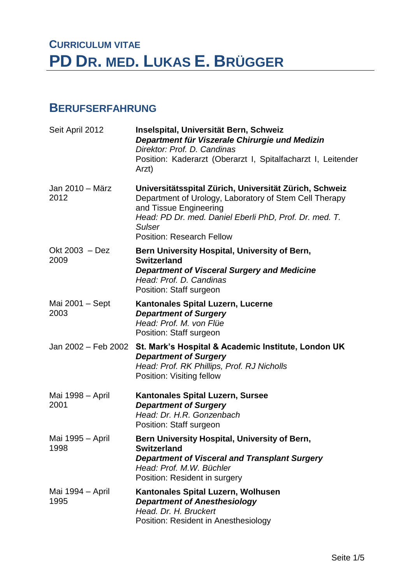# **CURRICULUM VITAE PD DR. MED. LUKAS E. BRÜGGER**

#### **BERUFSERFAHRUNG**

| Seit April 2012          | Inselspital, Universität Bern, Schweiz<br>Department für Viszerale Chirurgie und Medizin<br>Direktor: Prof. D. Candinas<br>Position: Kaderarzt (Oberarzt I, Spitalfacharzt I, Leitender<br>Arzt)                                                          |
|--------------------------|-----------------------------------------------------------------------------------------------------------------------------------------------------------------------------------------------------------------------------------------------------------|
| Jan 2010 - März<br>2012  | Universitätsspital Zürich, Universität Zürich, Schweiz<br>Department of Urology, Laboratory of Stem Cell Therapy<br>and Tissue Engineering<br>Head: PD Dr. med. Daniel Eberli PhD, Prof. Dr. med. T.<br><b>Sulser</b><br><b>Position: Research Fellow</b> |
| Okt 2003 - Dez<br>2009   | Bern University Hospital, University of Bern,<br><b>Switzerland</b><br><b>Department of Visceral Surgery and Medicine</b><br>Head: Prof. D. Candinas<br>Position: Staff surgeon                                                                           |
| Mai 2001 - Sept<br>2003  | <b>Kantonales Spital Luzern, Lucerne</b><br><b>Department of Surgery</b><br>Head: Prof. M. von Flüe<br>Position: Staff surgeon                                                                                                                            |
| Jan 2002 – Feb 2002      | St. Mark's Hospital & Academic Institute, London UK<br><b>Department of Surgery</b><br>Head: Prof. RK Phillips, Prof. RJ Nicholls<br>Position: Visiting fellow                                                                                            |
| Mai 1998 – April<br>2001 | <b>Kantonales Spital Luzern, Sursee</b><br><b>Department of Surgery</b><br>Head: Dr. H.R. Gonzenbach<br>Position: Staff surgeon                                                                                                                           |
| Mai 1995 - April<br>1998 | Bern University Hospital, University of Bern,<br><b>Switzerland</b><br><b>Department of Visceral and Transplant Surgery</b><br>Head: Prof. M.W. Büchler<br>Position: Resident in surgery                                                                  |
| Mai 1994 - April<br>1995 | Kantonales Spital Luzern, Wolhusen<br><b>Department of Anesthesiology</b><br>Head. Dr. H. Bruckert<br>Position: Resident in Anesthesiology                                                                                                                |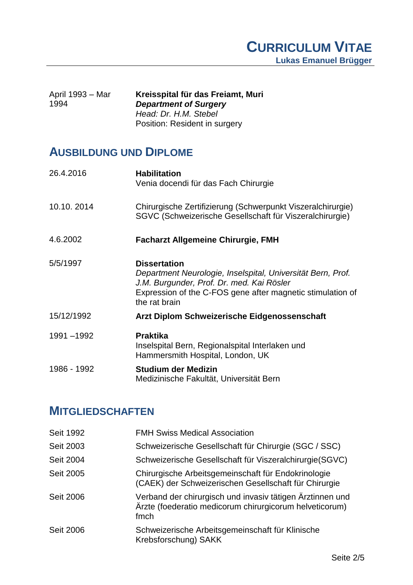| April 1993 – Mar<br>1994 | Kreisspital für das Freiamt, Muri<br><b>Department of Surgery</b> |
|--------------------------|-------------------------------------------------------------------|
|                          | Head: Dr. H.M. Stebel                                             |
|                          | Position: Resident in surgery                                     |

### **AUSBILDUNG UND DIPLOME**

| 26.4.2016   | <b>Habilitation</b><br>Venia docendi für das Fach Chirurgie                                                                                                                                                    |
|-------------|----------------------------------------------------------------------------------------------------------------------------------------------------------------------------------------------------------------|
| 10.10.2014  | Chirurgische Zertifizierung (Schwerpunkt Viszeralchirurgie)<br>SGVC (Schweizerische Gesellschaft für Viszeralchirurgie)                                                                                        |
| 4.6.2002    | <b>Facharzt Allgemeine Chirurgie, FMH</b>                                                                                                                                                                      |
| 5/5/1997    | <b>Dissertation</b><br>Department Neurologie, Inselspital, Universität Bern, Prof.<br>J.M. Burgunder, Prof. Dr. med. Kai Rösler<br>Expression of the C-FOS gene after magnetic stimulation of<br>the rat brain |
| 15/12/1992  | Arzt Diplom Schweizerische Eidgenossenschaft                                                                                                                                                                   |
| 1991-1992   | <b>Praktika</b><br>Inselspital Bern, Regionalspital Interlaken und<br>Hammersmith Hospital, London, UK                                                                                                         |
| 1986 - 1992 | <b>Studium der Medizin</b><br>Medizinische Fakultät, Universität Bern                                                                                                                                          |

## **MITGLIEDSCHAFTEN**

| Seit 1992        | <b>FMH Swiss Medical Association</b>                                                                                         |
|------------------|------------------------------------------------------------------------------------------------------------------------------|
|                  |                                                                                                                              |
| Seit 2003        | Schweizerische Gesellschaft für Chirurgie (SGC / SSC)                                                                        |
| Seit 2004        | Schweizerische Gesellschaft für Viszeralchirurgie(SGVC)                                                                      |
| Seit 2005        | Chirurgische Arbeitsgemeinschaft für Endokrinologie<br>(CAEK) der Schweizerischen Gesellschaft für Chirurgie                 |
| <b>Seit 2006</b> | Verband der chirurgisch und invasiv tätigen Ärztinnen und<br>Ärzte (foederatio medicorum chirurgicorum helveticorum)<br>fmch |
| <b>Seit 2006</b> | Schweizerische Arbeitsgemeinschaft für Klinische<br>Krebsforschung) SAKK                                                     |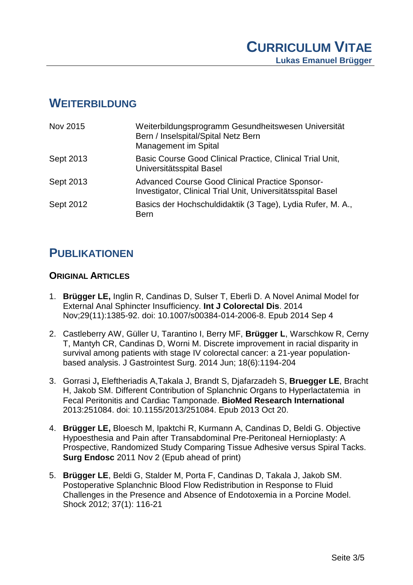#### **WEITERBILDUNG**

| Nov 2015  | Weiterbildungsprogramm Gesundheitswesen Universität<br>Bern / Inselspital/Spital Netz Bern<br>Management im Spital    |
|-----------|-----------------------------------------------------------------------------------------------------------------------|
| Sept 2013 | Basic Course Good Clinical Practice, Clinical Trial Unit,<br>Universitätsspital Basel                                 |
| Sept 2013 | <b>Advanced Course Good Clinical Practice Sponsor-</b><br>Investigator, Clinical Trial Unit, Universitätsspital Basel |
| Sept 2012 | Basics der Hochschuldidaktik (3 Tage), Lydia Rufer, M. A.,<br><b>Bern</b>                                             |

### **PUBLIKATIONEN**

#### **ORIGINAL ARTICLES**

- 1. **Brügger LE,** Inglin R, Candinas D, Sulser T, Eberli D. A Novel Animal Model for External Anal Sphincter Insufficiency. **Int J Colorectal Dis**. 2014 Nov;29(11):1385-92. doi: 10.1007/s00384-014-2006-8. Epub 2014 Sep 4
- 2. Castleberry AW, Güller U, Tarantino I, Berry MF, **Brügger L**, Warschkow R, Cerny T, Mantyh CR, Candinas D, Worni M. Discrete improvement in racial disparity in survival among patients with stage IV colorectal cancer: a 21-year populationbased analysis. J Gastrointest Surg. 2014 Jun; 18(6):1194-204
- 3. Gorrasi J**,** Eleftheriadis A,Takala J, Brandt S, Djafarzadeh S, **Bruegger LE**, Bracht H, Jakob SM. Different Contribution of Splanchnic Organs to Hyperlactatemia in Fecal Peritonitis and Cardiac Tamponade. **BioMed Research International** 2013:251084. doi: 10.1155/2013/251084. Epub 2013 Oct 20.
- 4. **Brügger LE,** Bloesch M, Ipaktchi R, Kurmann A, Candinas D, Beldi G. Objective Hypoesthesia and Pain after Transabdominal Pre-Peritoneal Hernioplasty: A Prospective, Randomized Study Comparing Tissue Adhesive versus Spiral Tacks. **Surg Endosc** 2011 Nov 2 (Epub ahead of print)
- 5. **Brügger LE**, Beldi G, Stalder M, Porta F, Candinas D, Takala J, Jakob SM. Postoperative Splanchnic Blood Flow Redistribution in Response to Fluid Challenges in the Presence and Absence of Endotoxemia in a Porcine Model. Shock 2012; 37(1): 116-21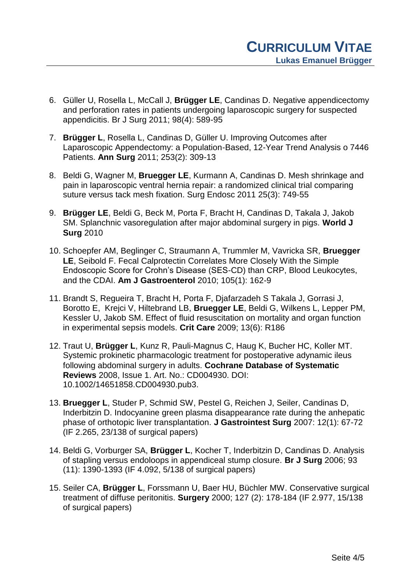- 6. Güller U, Rosella L, McCall J, **Brügger LE**, Candinas D. Negative appendicectomy and perforation rates in patients undergoing laparoscopic surgery for suspected appendicitis. Br J Surg 2011; 98(4): 589-95
- 7. **Brügger L**, Rosella L, Candinas D, Güller U. Improving Outcomes after Laparoscopic Appendectomy: a Population-Based, 12-Year Trend Analysis o 7446 Patients. **Ann Surg** 2011; 253(2): 309-13
- 8. Beldi G, Wagner M, **Bruegger LE**, Kurmann A, Candinas D. Mesh shrinkage and pain in laparoscopic ventral hernia repair: a randomized clinical trial comparing suture versus tack mesh fixation. Surg Endosc 2011 25(3): 749-55
- 9. **Brügger LE**, Beldi G, Beck M, Porta F, Bracht H, Candinas D, Takala J, Jakob SM. Splanchnic vasoregulation after major abdominal surgery in pigs. **World J Surg** 2010
- 10. Schoepfer AM, Beglinger C, Straumann A, Trummler M, Vavricka SR, **Bruegger LE**, Seibold F. Fecal Calprotectin Correlates More Closely With the Simple Endoscopic Score for Crohn's Disease (SES-CD) than CRP, Blood Leukocytes, and the CDAI. **Am J Gastroenterol** 2010; 105(1): 162-9
- 11. Brandt S, Regueira T, Bracht H, Porta F, Djafarzadeh S Takala J, Gorrasi J, Borotto E, Krejci V, Hiltebrand LB, **Bruegger LE**, Beldi G, Wilkens L, Lepper PM, Kessler U, Jakob SM. Effect of fluid resuscitation on mortality and organ function in experimental sepsis models. **Crit Care** 2009; 13(6): R186
- 12. Traut U, **Brügger L**, Kunz R, Pauli-Magnus C, Haug K, Bucher HC, Koller MT. Systemic prokinetic pharmacologic treatment for postoperative adynamic ileus following abdominal surgery in adults. **Cochrane Database of Systematic Reviews** 2008, Issue 1. Art. No.: CD004930. DOI: 10.1002/14651858.CD004930.pub3.
- 13. **Bruegger L**, Studer P, Schmid SW, Pestel G, Reichen J, Seiler, Candinas D, Inderbitzin D. Indocyanine green plasma disappearance rate during the anhepatic phase of orthotopic liver transplantation. **J Gastrointest Surg** 2007: 12(1): 67-72 (IF 2.265, 23/138 of surgical papers)
- 14. Beldi G, Vorburger SA, **Brügger L**, Kocher T, Inderbitzin D, Candinas D. Analysis of stapling versus endoloops in appendiceal stump closure. **Br J Surg** 2006; 93 (11): 1390-1393 (IF 4.092, 5/138 of surgical papers)
- 15. Seiler CA, **Brügger L**, Forssmann U, Baer HU, Büchler MW. Conservative surgical treatment of diffuse peritonitis. **Surgery** 2000; 127 (2): 178-184 (IF 2.977, 15/138 of surgical papers)